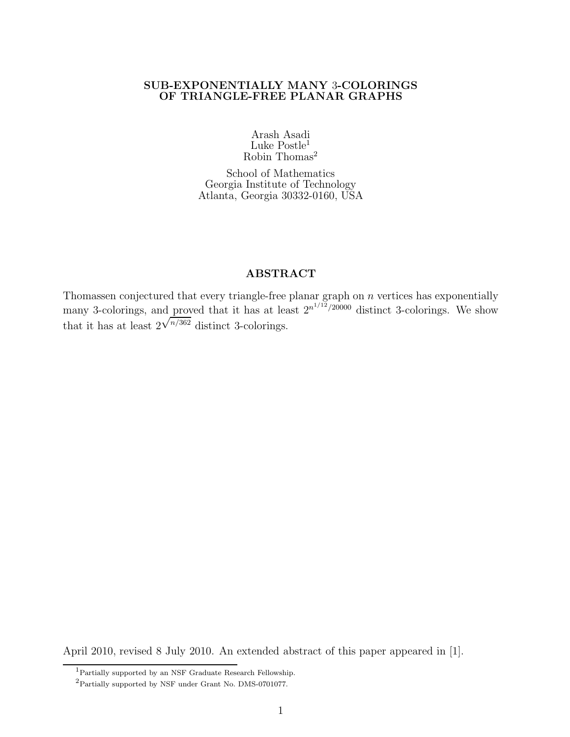### SUB-EXPONENTIALLY MANY 3-COLORINGS OF TRIANGLE-FREE PLANAR GRAPHS

Arash Asadi Luke Postle<sup>1</sup> Robin Thomas<sup>2</sup>

School of Mathematics Georgia Institute of Technology Atlanta, Georgia 30332-0160, USA

### ABSTRACT

Thomassen conjectured that every triangle-free planar graph on n vertices has exponentially many 3-colorings, and proved that it has at least  $2^{n^{1/12}/20000}$  distinct 3-colorings. We show that it has at least 2  $\sqrt{n/362}$  distinct 3-colorings.

April 2010, revised 8 July 2010. An extended abstract of this paper appeared in [1].

<sup>1</sup>Partially supported by an NSF Graduate Research Fellowship.

 $^2$  Partially supported by NSF under Grant No. DMS-0701077.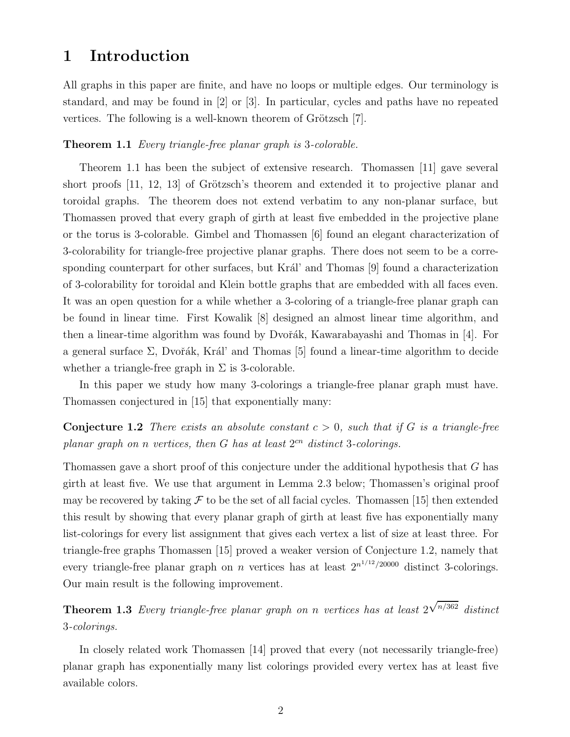# 1 Introduction

All graphs in this paper are finite, and have no loops or multiple edges. Our terminology is standard, and may be found in [2] or [3]. In particular, cycles and paths have no repeated vertices. The following is a well-known theorem of Grötzsch [7].

### Theorem 1.1 Every triangle-free planar graph is 3-colorable.

Theorem 1.1 has been the subject of extensive research. Thomassen [11] gave several short proofs  $[11, 12, 13]$  of Grötzsch's theorem and extended it to projective planar and toroidal graphs. The theorem does not extend verbatim to any non-planar surface, but Thomassen proved that every graph of girth at least five embedded in the projective plane or the torus is 3-colorable. Gimbel and Thomassen [6] found an elegant characterization of 3-colorability for triangle-free projective planar graphs. There does not seem to be a corresponding counterpart for other surfaces, but Král' and Thomas  $[9]$  found a characterization of 3-colorability for toroidal and Klein bottle graphs that are embedded with all faces even. It was an open question for a while whether a 3-coloring of a triangle-free planar graph can be found in linear time. First Kowalik [8] designed an almost linear time algorithm, and then a linear-time algorithm was found by Dvořák, Kawarabayashi and Thomas in [4]. For a general surface  $\Sigma$ , Dvořák, Král' and Thomas [5] found a linear-time algorithm to decide whether a triangle-free graph in  $\Sigma$  is 3-colorable.

In this paper we study how many 3-colorings a triangle-free planar graph must have. Thomassen conjectured in [15] that exponentially many:

### **Conjecture 1.2** There exists an absolute constant  $c > 0$ , such that if G is a triangle-free planar graph on n vertices, then  $G$  has at least  $2^{cn}$  distinct 3-colorings.

Thomassen gave a short proof of this conjecture under the additional hypothesis that G has girth at least five. We use that argument in Lemma 2.3 below; Thomassen's original proof may be recovered by taking  $\mathcal F$  to be the set of all facial cycles. Thomassen [15] then extended this result by showing that every planar graph of girth at least five has exponentially many list-colorings for every list assignment that gives each vertex a list of size at least three. For triangle-free graphs Thomassen [15] proved a weaker version of Conjecture 1.2, namely that every triangle-free planar graph on *n* vertices has at least  $2^{n^{1/12}/20000}$  distinct 3-colorings. Our main result is the following improvement.

Theorem 1.3 Every triangle-free planar graph on n vertices has at least 2  $\sqrt{n/362}$  distinct 3-colorings.

In closely related work Thomassen [14] proved that every (not necessarily triangle-free) planar graph has exponentially many list colorings provided every vertex has at least five available colors.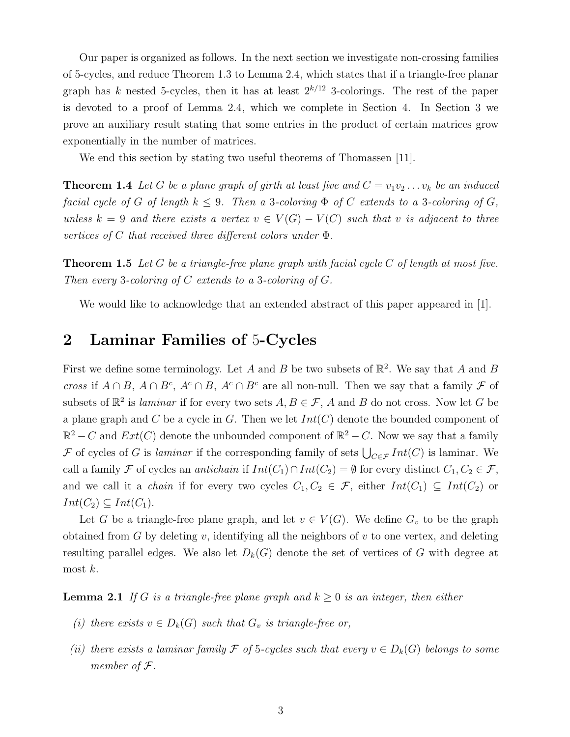Our paper is organized as follows. In the next section we investigate non-crossing families of 5-cycles, and reduce Theorem 1.3 to Lemma 2.4, which states that if a triangle-free planar graph has k nested 5-cycles, then it has at least  $2^{k/12}$  3-colorings. The rest of the paper is devoted to a proof of Lemma 2.4, which we complete in Section 4. In Section 3 we prove an auxiliary result stating that some entries in the product of certain matrices grow exponentially in the number of matrices.

We end this section by stating two useful theorems of Thomassen [11].

**Theorem 1.4** Let G be a plane graph of girth at least five and  $C = v_1v_2 \ldots v_k$  be an induced facial cycle of G of length  $k \leq 9$ . Then a 3-coloring  $\Phi$  of C extends to a 3-coloring of G, unless  $k = 9$  and there exists a vertex  $v \in V(G) - V(C)$  such that v is adjacent to three vertices of C that received three different colors under  $\Phi$ .

**Theorem 1.5** Let G be a triangle-free plane graph with facial cycle C of length at most five. Then every 3-coloring of C extends to a 3-coloring of  $G$ .

We would like to acknowledge that an extended abstract of this paper appeared in [1].

# 2 Laminar Families of 5-Cycles

First we define some terminology. Let A and B be two subsets of  $\mathbb{R}^2$ . We say that A and B cross if  $A \cap B$ ,  $A \cap B^c$ ,  $A^c \cap B$ ,  $A^c \cap B^c$  are all non-null. Then we say that a family  $\mathcal F$  of subsets of  $\mathbb{R}^2$  is *laminar* if for every two sets  $A, B \in \mathcal{F}$ , A and B do not cross. Now let G be a plane graph and C be a cycle in G. Then we let  $Int(C)$  denote the bounded component of  $\mathbb{R}^2 - C$  and  $Ext(C)$  denote the unbounded component of  $\mathbb{R}^2 - C$ . Now we say that a family F of cycles of G is *laminar* if the corresponding family of sets  $\bigcup_{C \in \mathcal{F}} Int(C)$  is laminar. We call a family F of cycles an *antichain* if  $Int(C_1) \cap Int(C_2) = \emptyset$  for every distinct  $C_1, C_2 \in \mathcal{F}$ , and we call it a *chain* if for every two cycles  $C_1, C_2 \in \mathcal{F}$ , either  $Int(C_1) \subseteq Int(C_2)$  or  $Int(C_2) \subseteq Int(C_1).$ 

Let G be a triangle-free plane graph, and let  $v \in V(G)$ . We define  $G_v$  to be the graph obtained from  $G$  by deleting  $v$ , identifying all the neighbors of  $v$  to one vertex, and deleting resulting parallel edges. We also let  $D_k(G)$  denote the set of vertices of G with degree at most  $k$ .

**Lemma 2.1** If G is a triangle-free plane graph and  $k \geq 0$  is an integer, then either

- (i) there exists  $v \in D_k(G)$  such that  $G_v$  is triangle-free or,
- (ii) there exists a laminar family F of 5-cycles such that every  $v \in D_k(G)$  belongs to some member of F.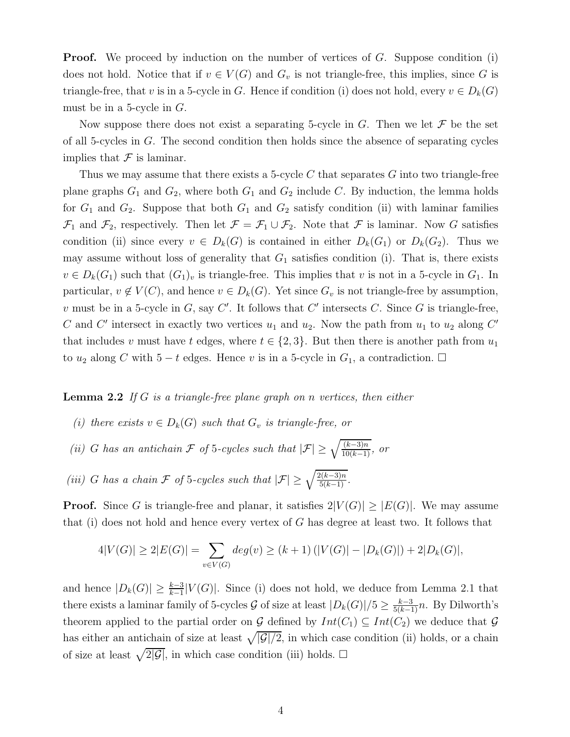**Proof.** We proceed by induction on the number of vertices of  $G$ . Suppose condition (i) does not hold. Notice that if  $v \in V(G)$  and  $G_v$  is not triangle-free, this implies, since G is triangle-free, that v is in a 5-cycle in G. Hence if condition (i) does not hold, every  $v \in D_k(G)$ must be in a 5-cycle in  $G$ .

Now suppose there does not exist a separating 5-cycle in  $G$ . Then we let  $\mathcal F$  be the set of all 5-cycles in  $G$ . The second condition then holds since the absence of separating cycles implies that  $\mathcal F$  is laminar.

Thus we may assume that there exists a 5-cycle  $C$  that separates  $G$  into two triangle-free plane graphs  $G_1$  and  $G_2$ , where both  $G_1$  and  $G_2$  include C. By induction, the lemma holds for  $G_1$  and  $G_2$ . Suppose that both  $G_1$  and  $G_2$  satisfy condition (ii) with laminar families  $\mathcal{F}_1$  and  $\mathcal{F}_2$ , respectively. Then let  $\mathcal{F} = \mathcal{F}_1 \cup \mathcal{F}_2$ . Note that  $\mathcal F$  is laminar. Now G satisfies condition (ii) since every  $v \in D_k(G)$  is contained in either  $D_k(G_1)$  or  $D_k(G_2)$ . Thus we may assume without loss of generality that  $G_1$  satisfies condition (i). That is, there exists  $v \in D_k(G_1)$  such that  $(G_1)_v$  is triangle-free. This implies that v is not in a 5-cycle in  $G_1$ . In particular,  $v \notin V(C)$ , and hence  $v \in D_k(G)$ . Yet since  $G_v$  is not triangle-free by assumption, v must be in a 5-cycle in  $G$ , say  $C'$ . It follows that  $C'$  intersects  $C$ . Since  $G$  is triangle-free, C and C' intersect in exactly two vertices  $u_1$  and  $u_2$ . Now the path from  $u_1$  to  $u_2$  along C' that includes v must have t edges, where  $t \in \{2,3\}$ . But then there is another path from  $u_1$ to  $u_2$  along C with 5 − t edges. Hence v is in a 5-cycle in  $G_1$ , a contradiction.  $\Box$ 

### **Lemma 2.2** If G is a triangle-free plane graph on n vertices, then either

- (i) there exists  $v \in D_k(G)$  such that  $G_v$  is triangle-free, or
- (ii) G has an antichain  $\mathcal F$  of 5-cycles such that  $|\mathcal F| \geq \sqrt{\frac{(k-3)n}{10(k-1)}}$ , or

(iii) G has a chain F of 5-cycles such that  $|\mathcal{F}| \geq \sqrt{\frac{2(k-3)n}{5(k-1)}}$ .

**Proof.** Since G is triangle-free and planar, it satisfies  $2|V(G)| \geq |E(G)|$ . We may assume that (i) does not hold and hence every vertex of  $G$  has degree at least two. It follows that

$$
4|V(G)| \ge 2|E(G)| = \sum_{v \in V(G)} deg(v) \ge (k+1) (|V(G)| - |D_k(G)|) + 2|D_k(G)|,
$$

and hence  $|D_k(G)| \geq \frac{k-3}{k-1}|V(G)|$ . Since (i) does not hold, we deduce from Lemma 2.1 that there exists a laminar family of 5-cycles G of size at least  $|D_k(G)|/5 \geq \frac{k-3}{5(k-1)}n$ . By Dilworth's theorem applied to the partial order on G defined by  $Int(C_1) \subseteq Int(C_2)$  we deduce that G has either an antichain of size at least  $\sqrt{|G|/2}$ , in which case condition (ii) holds, or a chain of size at least  $\sqrt{2|\mathcal{G}|}$ , in which case condition (iii) holds.  $\Box$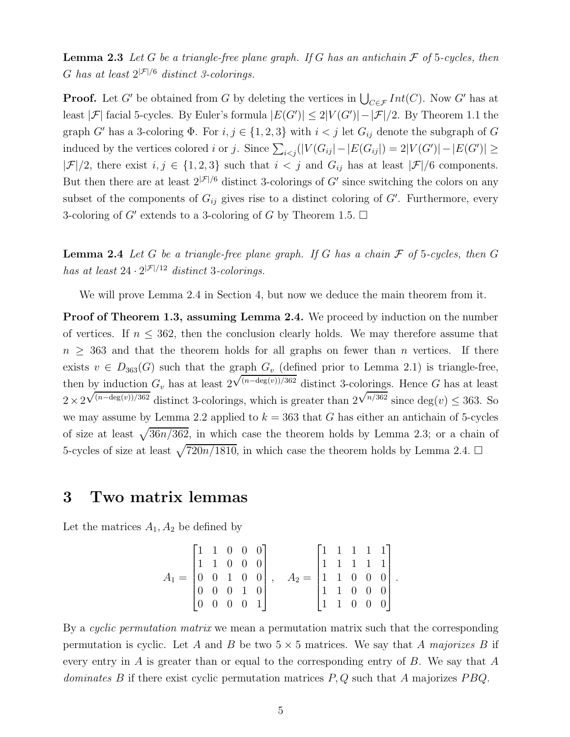**Lemma 2.3** Let G be a triangle-free plane graph. If G has an antichain  $\mathcal F$  of 5-cycles, then G has at least  $2^{|\mathcal{F}|/6}$  distinct 3-colorings.

**Proof.** Let G' be obtained from G by deleting the vertices in  $\bigcup_{C \in \mathcal{F}} Int(C)$ . Now G' has at least | $\mathcal{F}$ | facial 5-cycles. By Euler's formula  $|E(G')| \leq 2|V(G')| - |\mathcal{F}|/2$ . By Theorem 1.1 the graph G' has a 3-coloring  $\Phi$ . For  $i, j \in \{1, 2, 3\}$  with  $i < j$  let  $G_{ij}$  denote the subgraph of G induced by the vertices colored *i* or *j*. Since  $\sum_{i \le j} (|V(G_{ij}| - |E(G_{ij}|) = 2|V(G')| - |E(G')| \ge$  $|\mathcal{F}|/2$ , there exist  $i, j \in \{1, 2, 3\}$  such that  $i < j$  and  $G_{ij}$  has at least  $|\mathcal{F}|/6$  components. But then there are at least  $2^{|\mathcal{F}|/6}$  distinct 3-colorings of G' since switching the colors on any subset of the components of  $G_{ij}$  gives rise to a distinct coloring of  $G'$ . Furthermore, every 3-coloring of  $G'$  extends to a 3-coloring of G by Theorem 1.5.  $\Box$ 

**Lemma 2.4** Let G be a triangle-free plane graph. If G has a chain  $\mathcal F$  of 5-cycles, then G has at least  $24 \cdot 2^{|\mathcal{F}|/12}$  distinct 3-colorings.

We will prove Lemma 2.4 in Section 4, but now we deduce the main theorem from it.

**Proof of Theorem 1.3, assuming Lemma 2.4.** We proceed by induction on the number of vertices. If  $n \leq 362$ , then the conclusion clearly holds. We may therefore assume that  $n \geq 363$  and that the theorem holds for all graphs on fewer than n vertices. If there exists  $v \in D_{363}(G)$  such that the graph  $G_v$  (defined prior to Lemma 2.1) is triangle-free, then by induction  $G_v$  has at least 2  $\sqrt{(n-\deg(v))/362}$  distinct 3-colorings. Hence G has at least  $2\times2$  $\sqrt{(n-\deg(v))/362}$  distinct 3-colorings, which is greater than  $2^{\sqrt{n/362}}$  since  $\deg(v) \leq 363$ . So we may assume by Lemma 2.2 applied to  $k = 363$  that G has either an antichain of 5-cycles of size at least  $\sqrt{36n/362}$ , in which case the theorem holds by Lemma 2.3; or a chain of 5-cycles of size at least  $\sqrt{720n/1810}$ , in which case the theorem holds by Lemma 2.4.  $\Box$ 

## 3 Two matrix lemmas

Let the matrices  $A_1, A_2$  be defined by

$$
A_1 = \begin{bmatrix} 1 & 1 & 0 & 0 & 0 \\ 1 & 1 & 0 & 0 & 0 \\ 0 & 0 & 1 & 0 & 0 \\ 0 & 0 & 0 & 1 & 0 \\ 0 & 0 & 0 & 0 & 1 \end{bmatrix}, \quad A_2 = \begin{bmatrix} 1 & 1 & 1 & 1 & 1 \\ 1 & 1 & 1 & 1 & 1 \\ 1 & 1 & 0 & 0 & 0 \\ 1 & 1 & 0 & 0 & 0 \\ 1 & 1 & 0 & 0 & 0 \end{bmatrix}.
$$

By a cyclic permutation matrix we mean a permutation matrix such that the corresponding permutation is cyclic. Let A and B be two  $5 \times 5$  matrices. We say that A majorizes B if every entry in  $A$  is greater than or equal to the corresponding entry of  $B$ . We say that  $A$ dominates B if there exist cyclic permutation matrices  $P, Q$  such that A majorizes  $PBQ$ .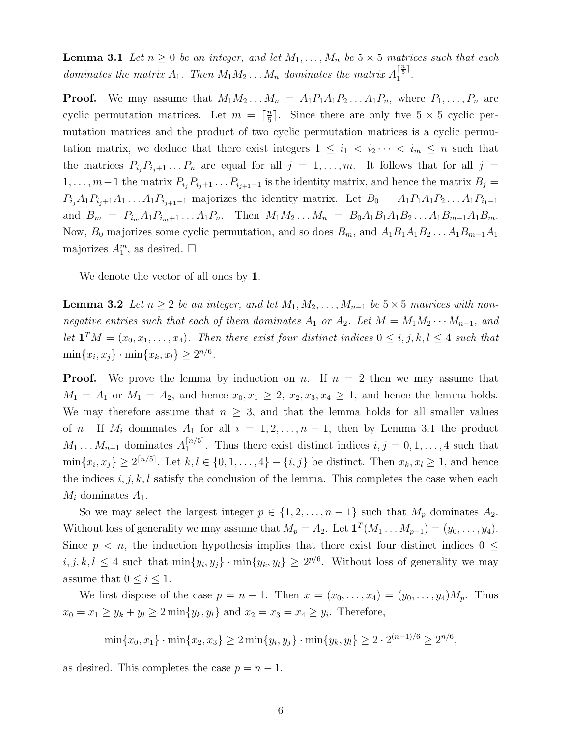**Lemma 3.1** Let  $n \geq 0$  be an integer, and let  $M_1, \ldots, M_n$  be  $5 \times 5$  matrices such that each dominates the matrix  $A_1$ . Then  $M_1M_2 \ldots M_n$  dominates the matrix  $A_1^{\lceil \frac{n}{5} \rceil}$  $\frac{1}{1}$ .

**Proof.** We may assume that  $M_1M_2...M_n = A_1P_1A_1P_2...A_1P_n$ , where  $P_1,...,P_n$  are cyclic permutation matrices. Let  $m = \lceil \frac{n}{5} \rceil$  $\frac{n}{5}$ . Since there are only five  $5 \times 5$  cyclic permutation matrices and the product of two cyclic permutation matrices is a cyclic permutation matrix, we deduce that there exist integers  $1 \leq i_1 < i_2 \cdots < i_m \leq n$  such that the matrices  $P_{i_j}P_{i_j+1}\ldots P_n$  are equal for all  $j = 1, \ldots, m$ . It follows that for all  $j =$  $1, \ldots, m-1$  the matrix  $P_{i_j}P_{i_{j+1}}\ldots P_{i_{j+1}-1}$  is the identity matrix, and hence the matrix  $B_j =$  $P_{i_j}A_1P_{i_j+1}A_1...A_1P_{i_{j+1}-1}$  majorizes the identity matrix. Let  $B_0 = A_1P_1A_1P_2...A_1P_{i_1-1}$ and  $B_m = P_{i_m} A_1 P_{i_m+1} \dots A_1 P_n$ . Then  $M_1 M_2 \dots M_n = B_0 A_1 B_1 A_1 B_2 \dots A_1 B_{m-1} A_1 B_m$ . Now,  $B_0$  majorizes some cyclic permutation, and so does  $B_m$ , and  $A_1B_1A_1B_2...A_1B_{m-1}A_1$ majorizes  $A_1^m$ , as desired.  $\Box$ 

We denote the vector of all ones by 1.

**Lemma 3.2** Let  $n \geq 2$  be an integer, and let  $M_1, M_2, \ldots, M_{n-1}$  be  $5 \times 5$  matrices with nonnegative entries such that each of them dominates  $A_1$  or  $A_2$ . Let  $M = M_1 M_2 \cdots M_{n-1}$ , and let  $\mathbf{1}^T M = (x_0, x_1, \ldots, x_4)$ . Then there exist four distinct indices  $0 \leq i, j, k, l \leq 4$  such that  $\min\{x_i, x_j\} \cdot \min\{x_k, x_l\} \ge 2^{n/6}.$ 

**Proof.** We prove the lemma by induction on n. If  $n = 2$  then we may assume that  $M_1 = A_1$  or  $M_1 = A_2$ , and hence  $x_0, x_1 \geq 2, x_2, x_3, x_4 \geq 1$ , and hence the lemma holds. We may therefore assume that  $n \geq 3$ , and that the lemma holds for all smaller values of n. If  $M_i$  dominates  $A_1$  for all  $i = 1, 2, ..., n - 1$ , then by Lemma 3.1 the product  $M_1 \ldots M_{n-1}$  dominates  $A_1^{[n/5]}$  $1^{(n)}$ . Thus there exist distinct indices  $i, j = 0, 1, \ldots, 4$  such that  $\min\{x_i, x_j\} \ge 2^{\lceil n/5 \rceil}$ . Let  $k, l \in \{0, 1, ..., 4\} - \{i, j\}$  be distinct. Then  $x_k, x_l \ge 1$ , and hence the indices  $i, j, k, l$  satisfy the conclusion of the lemma. This completes the case when each  $M_i$  dominates  $A_1$ .

So we may select the largest integer  $p \in \{1, 2, \ldots, n-1\}$  such that  $M_p$  dominates  $A_2$ . Without loss of generality we may assume that  $M_p = A_2$ . Let  $\mathbf{1}^T (M_1 \dots M_{p-1}) = (y_0, \dots, y_4)$ . Since  $p \leq n$ , the induction hypothesis implies that there exist four distinct indices  $0 \leq$  $i, j, k, l \leq 4$  such that  $\min\{y_i, y_j\} \cdot \min\{y_k, y_l\} \geq 2^{p/6}$ . Without loss of generality we may assume that  $0 \leq i \leq 1$ .

We first dispose of the case  $p = n - 1$ . Then  $x = (x_0, \ldots, x_4) = (y_0, \ldots, y_4)M_p$ . Thus  $x_0 = x_1 \ge y_k + y_l \ge 2 \min\{y_k, y_l\}$  and  $x_2 = x_3 = x_4 \ge y_i$ . Therefore,

$$
\min\{x_0, x_1\} \cdot \min\{x_2, x_3\} \ge 2 \min\{y_i, y_j\} \cdot \min\{y_k, y_l\} \ge 2 \cdot 2^{(n-1)/6} \ge 2^{n/6},
$$

as desired. This completes the case  $p = n - 1$ .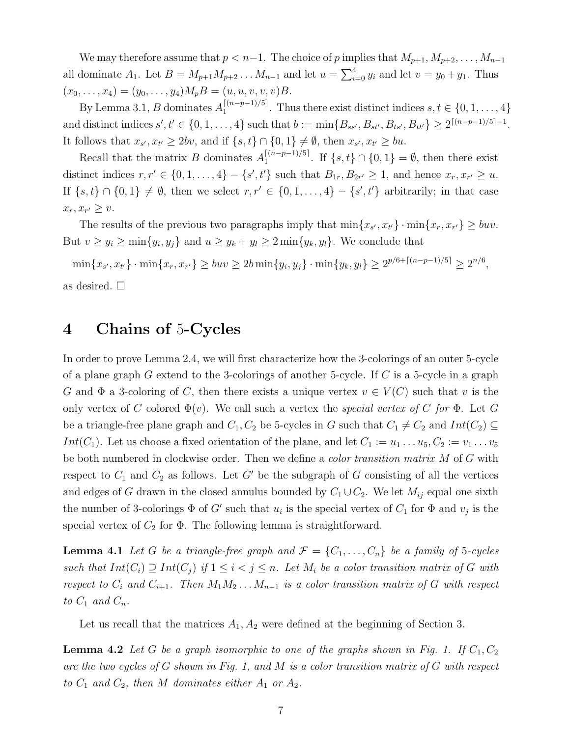We may therefore assume that  $p < n-1$ . The choice of p implies that  $M_{p+1}, M_{p+2}, \ldots, M_{n-1}$ all dominate  $A_1$ . Let  $B = M_{p+1}M_{p+2}\ldots M_{n-1}$  and let  $u = \sum_{i=0}^{4} y_i$  and let  $v = y_0 + y_1$ . Thus  $(x_0, \ldots, x_4) = (y_0, \ldots, y_4)M_pB = (u, u, v, v, v)B.$ 

By Lemma 3.1, B dominates  $A_1^{[(n-p-1)/5]}$  $1^{[(n-p-1)/3]}$ . Thus there exist distinct indices  $s, t \in \{0, 1, \ldots, 4\}$ and distinct indices  $s', t' \in \{0, 1, ..., 4\}$  such that  $b := \min\{B_{ss'}, B_{st'}, B_{ts'}, B_{tt'}\} \ge 2^{\lceil (n-p-1)/5 \rceil - 1}$ . It follows that  $x_{s'}$ ,  $x_{t'} \ge 2bv$ , and if  $\{s,t\} \cap \{0,1\} \neq \emptyset$ , then  $x_{s'}$ ,  $x_{t'} \ge bu$ .

Recall that the matrix B dominates  $A_1^{[(n-p-1)/5]}$  $\prod_{1}^{\lfloor (n-p-1)/5 \rfloor}$ . If  $\{s, t\} \cap \{0, 1\} = \emptyset$ , then there exist distinct indices  $r, r' \in \{0, 1, ..., 4\} - \{s', t'\}$  such that  $B_{1r}, B_{2r'} \ge 1$ , and hence  $x_r, x_{r'} \ge u$ . If  $\{s, t\} \cap \{0, 1\} \neq \emptyset$ , then we select  $r, r' \in \{0, 1, ..., 4\} - \{s', t'\}$  arbitrarily; in that case  $x_r, x_{r'} \geq v.$ 

The results of the previous two paragraphs imply that  $\min\{x_{s'}, x_{t'}\} \cdot \min\{x_r, x_{r'}\} \geq buv$ . But  $v \ge y_i \ge \min\{y_i, y_j\}$  and  $u \ge y_k + y_l \ge 2 \min\{y_k, y_l\}$ . We conclude that

 $\min\{x_{s'}, x_{t'}\} \cdot \min\{x_r, x_{r'}\} \geq buv \geq 2b \min\{y_i, y_j\} \cdot \min\{y_k, y_l\} \geq 2^{p/6 + \lceil (n-p-1)/5 \rceil} \geq 2^{n/6},$ as desired.  $\square$ 

# 4 Chains of 5-Cycles

In order to prove Lemma 2.4, we will first characterize how the 3-colorings of an outer 5-cycle of a plane graph G extend to the 3-colorings of another 5-cycle. If C is a 5-cycle in a graph G and  $\Phi$  a 3-coloring of C, then there exists a unique vertex  $v \in V(C)$  such that v is the only vertex of C colored  $\Phi(v)$ . We call such a vertex the special vertex of C for  $\Phi$ . Let G be a triangle-free plane graph and  $C_1, C_2$  be 5-cycles in G such that  $C_1 \neq C_2$  and  $Int(C_2) \subseteq$ Int(C<sub>1</sub>). Let us choose a fixed orientation of the plane, and let  $C_1 := u_1 \dots u_5, C_2 := v_1 \dots v_5$ be both numbered in clockwise order. Then we define a *color transition matrix* M of G with respect to  $C_1$  and  $C_2$  as follows. Let G' be the subgraph of G consisting of all the vertices and edges of G drawn in the closed annulus bounded by  $C_1 \cup C_2$ . We let  $M_{ij}$  equal one sixth the number of 3-colorings  $\Phi$  of G' such that  $u_i$  is the special vertex of  $C_1$  for  $\Phi$  and  $v_j$  is the special vertex of  $C_2$  for  $\Phi$ . The following lemma is straightforward.

**Lemma 4.1** Let G be a triangle-free graph and  $\mathcal{F} = \{C_1, \ldots, C_n\}$  be a family of 5-cycles such that  $Int(C_i) \supseteq Int(C_j)$  if  $1 \leq i < j \leq n$ . Let  $M_i$  be a color transition matrix of G with respect to  $C_i$  and  $C_{i+1}$ . Then  $M_1M_2 \ldots M_{n-1}$  is a color transition matrix of G with respect to  $C_1$  and  $C_n$ .

Let us recall that the matrices  $A_1, A_2$  were defined at the beginning of Section 3.

**Lemma 4.2** Let G be a graph isomorphic to one of the graphs shown in Fig. 1. If  $C_1, C_2$ are the two cycles of G shown in Fig. 1, and M is a color transition matrix of G with respect to  $C_1$  and  $C_2$ , then M dominates either  $A_1$  or  $A_2$ .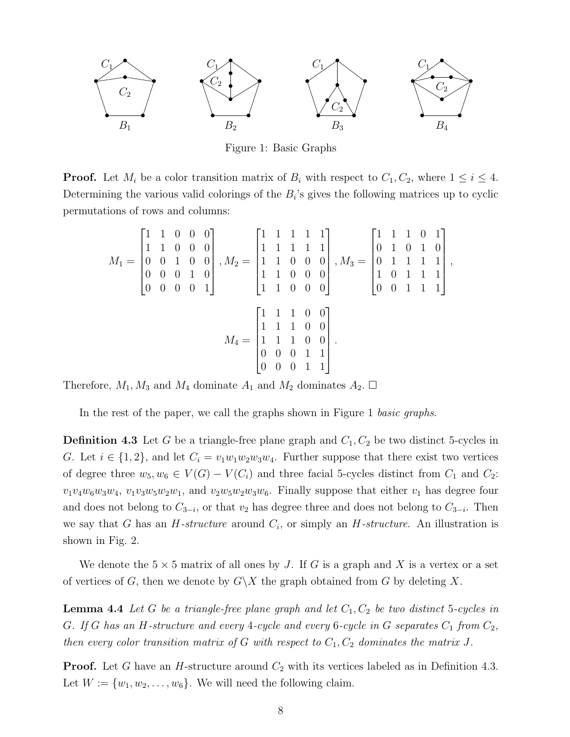

Figure 1: Basic Graphs

**Proof.** Let  $M_i$  be a color transition matrix of  $B_i$  with respect to  $C_1, C_2$ , where  $1 \leq i \leq 4$ . Determining the various valid colorings of the  $B_i$ 's gives the following matrices up to cyclic permutations of rows and columns:

$$
M_1 = \begin{bmatrix} 1 & 1 & 0 & 0 & 0 \\ 1 & 1 & 0 & 0 & 0 \\ 0 & 0 & 1 & 0 & 0 \\ 0 & 0 & 0 & 1 & 0 \\ 0 & 0 & 0 & 0 & 1 \end{bmatrix}, M_2 = \begin{bmatrix} 1 & 1 & 1 & 1 & 1 \\ 1 & 1 & 1 & 1 & 1 \\ 1 & 1 & 0 & 0 & 0 \\ 1 & 1 & 0 & 0 & 0 \\ 1 & 1 & 0 & 0 & 0 \end{bmatrix}, M_3 = \begin{bmatrix} 1 & 1 & 1 & 0 & 1 \\ 0 & 1 & 0 & 1 & 0 \\ 0 & 1 & 1 & 1 & 1 \\ 1 & 0 & 1 & 1 & 1 \\ 0 & 0 & 1 & 1 & 1 \end{bmatrix},
$$

$$
M_4 = \begin{bmatrix} 1 & 1 & 1 & 0 & 0 \\ 1 & 1 & 1 & 0 & 0 \\ 1 & 1 & 1 & 0 & 0 \\ 0 & 0 & 0 & 1 & 1 \\ 0 & 0 & 0 & 1 & 1 \end{bmatrix}.
$$

Therefore,  $M_1, M_3$  and  $M_4$  dominate  $A_1$  and  $M_2$  dominates  $A_2$ .  $\Box$ 

In the rest of the paper, we call the graphs shown in Figure 1 basic graphs.

**Definition 4.3** Let G be a triangle-free plane graph and  $C_1$ ,  $C_2$  be two distinct 5-cycles in G. Let  $i \in \{1,2\}$ , and let  $C_i = v_1w_1w_2w_3w_4$ . Further suppose that there exist two vertices of degree three  $w_5, w_6 \in V(G) - V(C_i)$  and three facial 5-cycles distinct from  $C_1$  and  $C_2$ :  $v_1v_4w_6w_3w_4$ ,  $v_1v_3w_5w_2w_1$ , and  $v_2w_5w_2w_3w_6$ . Finally suppose that either  $v_1$  has degree four and does not belong to  $C_{3-i}$ , or that  $v_2$  has degree three and does not belong to  $C_{3-i}$ . Then we say that G has an  $H$ -structure around  $C_i$ , or simply an  $H$ -structure. An illustration is shown in Fig. 2.

We denote the  $5 \times 5$  matrix of all ones by J. If G is a graph and X is a vertex or a set of vertices of G, then we denote by  $G\backslash X$  the graph obtained from G by deleting X.

**Lemma 4.4** Let G be a triangle-free plane graph and let  $C_1, C_2$  be two distinct 5-cycles in G. If G has an H-structure and every 4-cycle and every 6-cycle in G separates  $C_1$  from  $C_2$ , then every color transition matrix of G with respect to  $C_1, C_2$  dominates the matrix J.

**Proof.** Let G have an H-structure around  $C_2$  with its vertices labeled as in Definition 4.3. Let  $W := \{w_1, w_2, \ldots, w_6\}$ . We will need the following claim.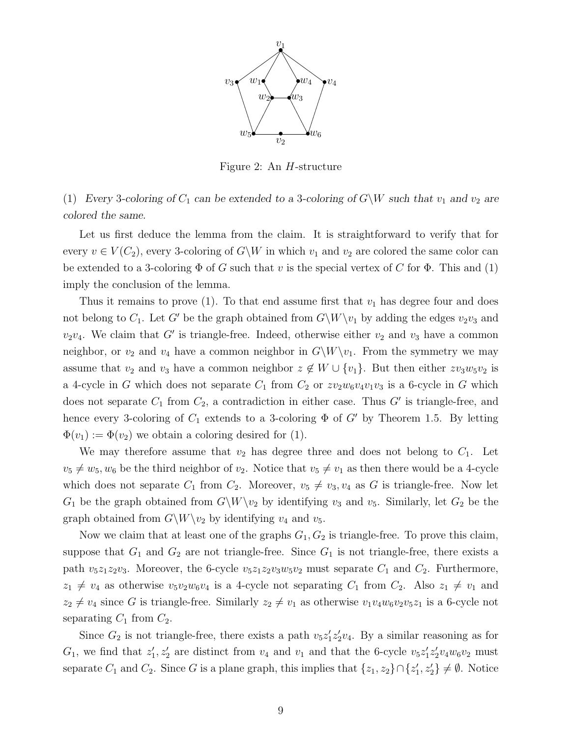

Figure 2: An H-structure

(1) Every 3-coloring of  $C_1$  can be extended to a 3-coloring of  $G\backslash W$  such that  $v_1$  and  $v_2$  are colored the same.

Let us first deduce the lemma from the claim. It is straightforward to verify that for every  $v \in V(C_2)$ , every 3-coloring of  $G\backslash W$  in which  $v_1$  and  $v_2$  are colored the same color can be extended to a 3-coloring  $\Phi$  of G such that v is the special vertex of C for  $\Phi$ . This and (1) imply the conclusion of the lemma.

Thus it remains to prove (1). To that end assume first that  $v_1$  has degree four and does not belong to  $C_1$ . Let G' be the graph obtained from  $G\backslash W\backslash v_1$  by adding the edges  $v_2v_3$  and  $v_2v_4$ . We claim that G' is triangle-free. Indeed, otherwise either  $v_2$  and  $v_3$  have a common neighbor, or  $v_2$  and  $v_4$  have a common neighbor in  $G\backslash W\backslash v_1$ . From the symmetry we may assume that  $v_2$  and  $v_3$  have a common neighbor  $z \notin W \cup \{v_1\}$ . But then either  $zv_3w_5v_2$  is a 4-cycle in G which does not separate  $C_1$  from  $C_2$  or  $zv_2w_6v_4v_1v_3$  is a 6-cycle in G which does not separate  $C_1$  from  $C_2$ , a contradiction in either case. Thus  $G'$  is triangle-free, and hence every 3-coloring of  $C_1$  extends to a 3-coloring  $\Phi$  of  $G'$  by Theorem 1.5. By letting  $\Phi(v_1) := \Phi(v_2)$  we obtain a coloring desired for (1).

We may therefore assume that  $v_2$  has degree three and does not belong to  $C_1$ . Let  $v_5 \neq w_5, w_6$  be the third neighbor of  $v_2$ . Notice that  $v_5 \neq v_1$  as then there would be a 4-cycle which does not separate  $C_1$  from  $C_2$ . Moreover,  $v_5 \neq v_3, v_4$  as G is triangle-free. Now let  $G_1$  be the graph obtained from  $G\backslash W\backslash v_2$  by identifying  $v_3$  and  $v_5$ . Similarly, let  $G_2$  be the graph obtained from  $G\backslash W\backslash v_2$  by identifying  $v_4$  and  $v_5$ .

Now we claim that at least one of the graphs  $G_1, G_2$  is triangle-free. To prove this claim, suppose that  $G_1$  and  $G_2$  are not triangle-free. Since  $G_1$  is not triangle-free, there exists a path  $v_5z_1z_2v_3$ . Moreover, the 6-cycle  $v_5z_1z_2v_3w_5v_2$  must separate  $C_1$  and  $C_2$ . Furthermore,  $z_1 \neq v_4$  as otherwise  $v_5v_2w_6v_4$  is a 4-cycle not separating  $C_1$  from  $C_2$ . Also  $z_1 \neq v_1$  and  $z_2 \neq v_4$  since G is triangle-free. Similarly  $z_2 \neq v_1$  as otherwise  $v_1v_4w_6v_2v_5z_1$  is a 6-cycle not separating  $C_1$  from  $C_2$ .

Since  $G_2$  is not triangle-free, there exists a path  $v_5z_1'z_2'v_4$ . By a similar reasoning as for  $G_1$ , we find that  $z'_1, z'_2$  are distinct from  $v_4$  and  $v_1$  and that the 6-cycle  $v_5z'_1z'_2v_4w_6v_2$  must separate  $C_1$  and  $C_2$ . Since G is a plane graph, this implies that  $\{z_1, z_2\} \cap \{z_1', z_2'\} \neq \emptyset$ . Notice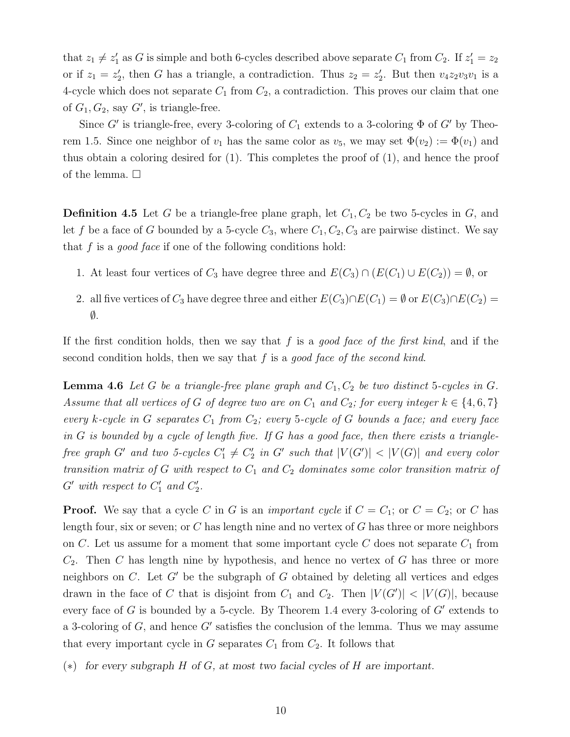that  $z_1 \neq z'_1$  as G is simple and both 6-cycles described above separate  $C_1$  from  $C_2$ . If  $z'_1 = z_2$ or if  $z_1 = z_2'$ , then G has a triangle, a contradiction. Thus  $z_2 = z_2'$ . But then  $v_4z_2v_3v_1$  is a 4-cycle which does not separate  $C_1$  from  $C_2$ , a contradiction. This proves our claim that one of  $G_1, G_2$ , say  $G'$ , is triangle-free.

Since G' is triangle-free, every 3-coloring of  $C_1$  extends to a 3-coloring  $\Phi$  of G' by Theorem 1.5. Since one neighbor of  $v_1$  has the same color as  $v_5$ , we may set  $\Phi(v_2) := \Phi(v_1)$  and thus obtain a coloring desired for (1). This completes the proof of (1), and hence the proof of the lemma.  $\square$ 

**Definition 4.5** Let G be a triangle-free plane graph, let  $C_1, C_2$  be two 5-cycles in G, and let f be a face of G bounded by a 5-cycle  $C_3$ , where  $C_1, C_2, C_3$  are pairwise distinct. We say that f is a *good face* if one of the following conditions hold:

- 1. At least four vertices of  $C_3$  have degree three and  $E(C_3) \cap (E(C_1) \cup E(C_2)) = \emptyset$ , or
- 2. all five vertices of  $C_3$  have degree three and either  $E(C_3) \cap E(C_1) = \emptyset$  or  $E(C_3) \cap E(C_2) =$  $\emptyset$ .

If the first condition holds, then we say that f is a good face of the first kind, and if the second condition holds, then we say that f is a good face of the second kind.

**Lemma 4.6** Let G be a triangle-free plane graph and  $C_1, C_2$  be two distinct 5-cycles in G. Assume that all vertices of G of degree two are on  $C_1$  and  $C_2$ ; for every integer  $k \in \{4,6,7\}$ every k-cycle in G separates  $C_1$  from  $C_2$ ; every 5-cycle of G bounds a face; and every face in  $G$  is bounded by a cycle of length five. If  $G$  has a good face, then there exists a trianglefree graph G' and two 5-cycles  $C'_1 \neq C'_2$  in G' such that  $|V(G')| < |V(G)|$  and every color transition matrix of G with respect to  $C_1$  and  $C_2$  dominates some color transition matrix of  $G'$  with respect to  $C'_1$  and  $C'_2$ .

**Proof.** We say that a cycle C in G is an *important cycle* if  $C = C_1$ ; or  $C = C_2$ ; or C has length four, six or seven; or  $C$  has length nine and no vertex of  $G$  has three or more neighbors on C. Let us assume for a moment that some important cycle C does not separate  $C_1$  from  $C_2$ . Then C has length nine by hypothesis, and hence no vertex of G has three or more neighbors on  $C$ . Let  $G'$  be the subgraph of  $G$  obtained by deleting all vertices and edges drawn in the face of C that is disjoint from  $C_1$  and  $C_2$ . Then  $|V(G')| < |V(G)|$ , because every face of  $G$  is bounded by a 5-cycle. By Theorem 1.4 every 3-coloring of  $G'$  extends to a 3-coloring of  $G$ , and hence  $G'$  satisfies the conclusion of the lemma. Thus we may assume that every important cycle in  $G$  separates  $C_1$  from  $C_2$ . It follows that

(∗) for every subgraph H of G, at most two facial cycles of H are important.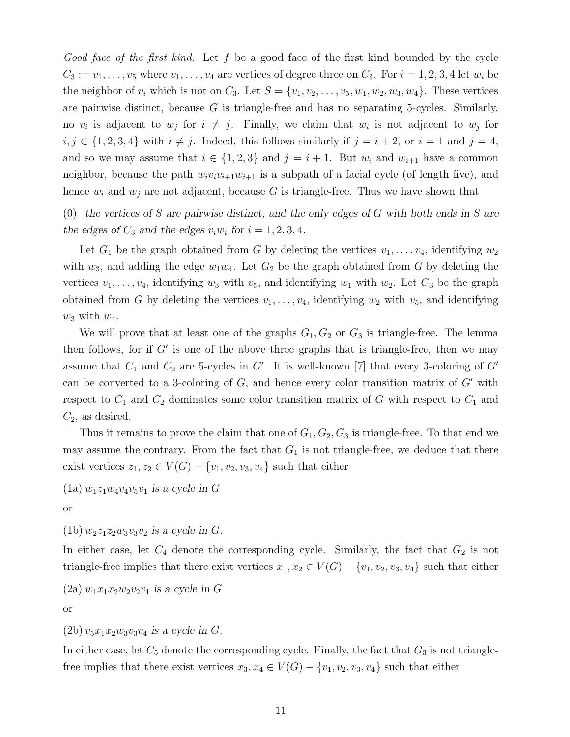Good face of the first kind. Let f be a good face of the first kind bounded by the cycle  $C_3 := v_1, \ldots, v_5$  where  $v_1, \ldots, v_4$  are vertices of degree three on  $C_3$ . For  $i = 1, 2, 3, 4$  let  $w_i$  be the neighbor of  $v_i$  which is not on  $C_3$ . Let  $S = \{v_1, v_2, \ldots, v_5, w_1, w_2, w_3, w_4\}$ . These vertices are pairwise distinct, because  $G$  is triangle-free and has no separating 5-cycles. Similarly, no  $v_i$  is adjacent to  $w_j$  for  $i \neq j$ . Finally, we claim that  $w_i$  is not adjacent to  $w_j$  for  $i, j \in \{1, 2, 3, 4\}$  with  $i \neq j$ . Indeed, this follows similarly if  $j = i + 2$ , or  $i = 1$  and  $j = 4$ , and so we may assume that  $i \in \{1,2,3\}$  and  $j = i + 1$ . But  $w_i$  and  $w_{i+1}$  have a common neighbor, because the path  $w_i v_i v_{i+1} w_{i+1}$  is a subpath of a facial cycle (of length five), and hence  $w_i$  and  $w_j$  are not adjacent, because G is triangle-free. Thus we have shown that

(0) the vertices of S are pairwise distinct, and the only edges of  $G$  with both ends in S are the edges of  $C_3$  and the edges  $v_i w_i$  for  $i = 1, 2, 3, 4$ .

Let  $G_1$  be the graph obtained from G by deleting the vertices  $v_1, \ldots, v_4$ , identifying  $w_2$ with  $w_3$ , and adding the edge  $w_1w_4$ . Let  $G_2$  be the graph obtained from G by deleting the vertices  $v_1, \ldots, v_4$ , identifying  $w_3$  with  $v_5$ , and identifying  $w_1$  with  $w_2$ . Let  $G_3$  be the graph obtained from G by deleting the vertices  $v_1, \ldots, v_4$ , identifying  $w_2$  with  $v_5$ , and identifying  $w_3$  with  $w_4$ .

We will prove that at least one of the graphs  $G_1, G_2$  or  $G_3$  is triangle-free. The lemma then follows, for if  $G'$  is one of the above three graphs that is triangle-free, then we may assume that  $C_1$  and  $C_2$  are 5-cycles in G'. It is well-known [7] that every 3-coloring of G' can be converted to a 3-coloring of  $G$ , and hence every color transition matrix of  $G'$  with respect to  $C_1$  and  $C_2$  dominates some color transition matrix of G with respect to  $C_1$  and  $C_2$ , as desired.

Thus it remains to prove the claim that one of  $G_1, G_2, G_3$  is triangle-free. To that end we may assume the contrary. From the fact that  $G_1$  is not triangle-free, we deduce that there exist vertices  $z_1, z_2 \in V(G) - \{v_1, v_2, v_3, v_4\}$  such that either

(1a) 
$$
w_1z_1w_4v_4v_5v_1
$$
 is a cycle in G

or

(1b)  $w_2z_1z_2w_3v_3v_2$  is a cycle in G.

In either case, let  $C_4$  denote the corresponding cycle. Similarly, the fact that  $G_2$  is not triangle-free implies that there exist vertices  $x_1, x_2 \in V(G) - \{v_1, v_2, v_3, v_4\}$  such that either

$$
(2a) w_1 x_1 x_2 w_2 v_2 v_1 \text{ is a cycle in } G
$$

or

### $(2b)$   $v_5x_1x_2w_3v_3v_4$  is a cycle in G.

In either case, let  $C_5$  denote the corresponding cycle. Finally, the fact that  $G_3$  is not trianglefree implies that there exist vertices  $x_3, x_4 \in V(G) - \{v_1, v_2, v_3, v_4\}$  such that either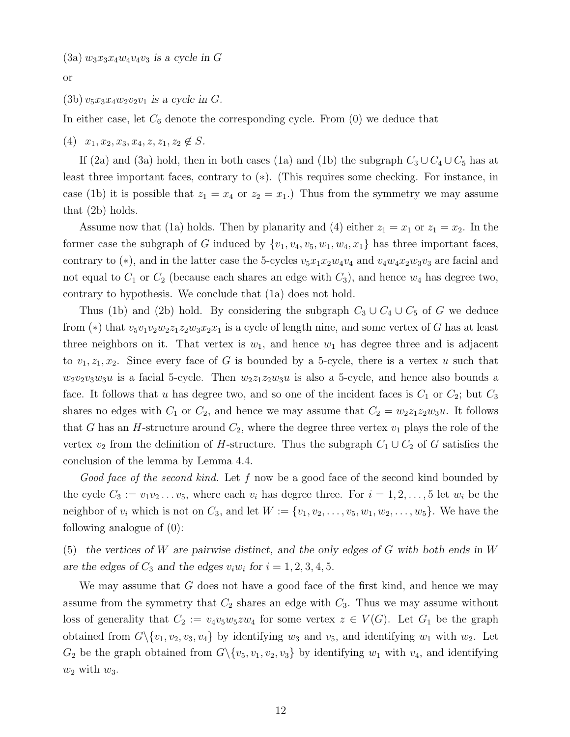or

### (3b)  $v_5x_3x_4w_2v_2v_1$  is a cycle in G.

In either case, let  $C_6$  denote the corresponding cycle. From  $(0)$  we deduce that

 $(4)$   $x_1, x_2, x_3, x_4, z, z_1, z_2 \notin S$ .

If (2a) and (3a) hold, then in both cases (1a) and (1b) the subgraph  $C_3 \cup C_4 \cup C_5$  has at least three important faces, contrary to (∗). (This requires some checking. For instance, in case (1b) it is possible that  $z_1 = x_4$  or  $z_2 = x_1$ .) Thus from the symmetry we may assume that (2b) holds.

Assume now that (1a) holds. Then by planarity and (4) either  $z_1 = x_1$  or  $z_1 = x_2$ . In the former case the subgraph of G induced by  $\{v_1, v_4, v_5, w_1, w_4, x_1\}$  has three important faces, contrary to (\*), and in the latter case the 5-cycles  $v_5x_1x_2w_4v_4$  and  $v_4w_4x_2w_3v_3$  are facial and not equal to  $C_1$  or  $C_2$  (because each shares an edge with  $C_3$ ), and hence  $w_4$  has degree two, contrary to hypothesis. We conclude that (1a) does not hold.

Thus (1b) and (2b) hold. By considering the subgraph  $C_3 \cup C_4 \cup C_5$  of G we deduce from (\*) that  $v_5v_1v_2w_2z_1z_2w_3x_2x_1$  is a cycle of length nine, and some vertex of G has at least three neighbors on it. That vertex is  $w_1$ , and hence  $w_1$  has degree three and is adjacent to  $v_1, z_1, x_2$ . Since every face of G is bounded by a 5-cycle, there is a vertex u such that  $w_2v_2v_3w_3u$  is a facial 5-cycle. Then  $w_2z_1z_2w_3u$  is also a 5-cycle, and hence also bounds a face. It follows that u has degree two, and so one of the incident faces is  $C_1$  or  $C_2$ ; but  $C_3$ shares no edges with  $C_1$  or  $C_2$ , and hence we may assume that  $C_2 = w_2 z_1 z_2 w_3 u$ . It follows that G has an H-structure around  $C_2$ , where the degree three vertex  $v_1$  plays the role of the vertex  $v_2$  from the definition of H-structure. Thus the subgraph  $C_1 \cup C_2$  of G satisfies the conclusion of the lemma by Lemma 4.4.

Good face of the second kind. Let f now be a good face of the second kind bounded by the cycle  $C_3 := v_1v_2 \ldots v_5$ , where each  $v_i$  has degree three. For  $i = 1, 2, \ldots, 5$  let  $w_i$  be the neighbor of  $v_i$  which is not on  $C_3$ , and let  $W := \{v_1, v_2, \ldots, v_5, w_1, w_2, \ldots, w_5\}$ . We have the following analogue of (0):

(5) the vertices of W are pairwise distinct, and the only edges of G with both ends in W are the edges of  $C_3$  and the edges  $v_i w_i$  for  $i = 1, 2, 3, 4, 5$ .

We may assume that  $G$  does not have a good face of the first kind, and hence we may assume from the symmetry that  $C_2$  shares an edge with  $C_3$ . Thus we may assume without loss of generality that  $C_2 := v_4v_5w_5zw_4$  for some vertex  $z \in V(G)$ . Let  $G_1$  be the graph obtained from  $G \setminus \{v_1, v_2, v_3, v_4\}$  by identifying  $w_3$  and  $v_5$ , and identifying  $w_1$  with  $w_2$ . Let  $G_2$  be the graph obtained from  $G \setminus \{v_5, v_1, v_2, v_3\}$  by identifying  $w_1$  with  $v_4$ , and identifying  $w_2$  with  $w_3$ .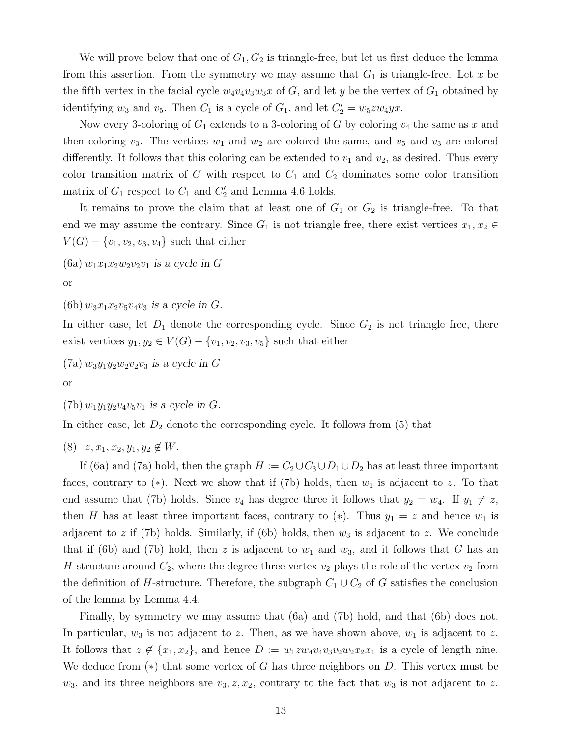We will prove below that one of  $G_1, G_2$  is triangle-free, but let us first deduce the lemma from this assertion. From the symmetry we may assume that  $G_1$  is triangle-free. Let x be the fifth vertex in the facial cycle  $w_4v_4v_3w_3x$  of G, and let y be the vertex of  $G_1$  obtained by identifying  $w_3$  and  $v_5$ . Then  $C_1$  is a cycle of  $G_1$ , and let  $C'_2 = w_5 z w_4 y x$ .

Now every 3-coloring of  $G_1$  extends to a 3-coloring of G by coloring  $v_4$  the same as x and then coloring  $v_3$ . The vertices  $w_1$  and  $w_2$  are colored the same, and  $v_5$  and  $v_3$  are colored differently. It follows that this coloring can be extended to  $v_1$  and  $v_2$ , as desired. Thus every color transition matrix of G with respect to  $C_1$  and  $C_2$  dominates some color transition matrix of  $G_1$  respect to  $C_1$  and  $C_2'$  and Lemma 4.6 holds.

It remains to prove the claim that at least one of  $G_1$  or  $G_2$  is triangle-free. To that end we may assume the contrary. Since  $G_1$  is not triangle free, there exist vertices  $x_1, x_2 \in$  $V(G) - \{v_1, v_2, v_3, v_4\}$  such that either

(6a)  $w_1x_1x_2w_2v_2v_1$  is a cycle in G

or

(6b)  $w_3x_1x_2v_5v_4v_3$  is a cycle in G.

In either case, let  $D_1$  denote the corresponding cycle. Since  $G_2$  is not triangle free, there exist vertices  $y_1, y_2 \in V(G) - \{v_1, v_2, v_3, v_5\}$  such that either

 $(7a)$   $w_3y_1y_2w_2v_2v_3$  is a cycle in G

or

(7b)  $w_1y_1y_2v_4v_5v_1$  is a cycle in G.

In either case, let  $D_2$  denote the corresponding cycle. It follows from (5) that

 $(8)$   $z, x_1, x_2, y_1, y_2 \notin W$ .

If (6a) and (7a) hold, then the graph  $H := C_2 \cup C_3 \cup D_1 \cup D_2$  has at least three important faces, contrary to  $(*)$ . Next we show that if (7b) holds, then  $w_1$  is adjacent to z. To that end assume that (7b) holds. Since  $v_4$  has degree three it follows that  $y_2 = w_4$ . If  $y_1 \neq z$ , then H has at least three important faces, contrary to  $(*)$ . Thus  $y_1 = z$  and hence  $w_1$  is adjacent to z if (7b) holds. Similarly, if (6b) holds, then  $w_3$  is adjacent to z. We conclude that if (6b) and (7b) hold, then z is adjacent to  $w_1$  and  $w_3$ , and it follows that G has an H-structure around  $C_2$ , where the degree three vertex  $v_2$  plays the role of the vertex  $v_2$  from the definition of H-structure. Therefore, the subgraph  $C_1 \cup C_2$  of G satisfies the conclusion of the lemma by Lemma 4.4.

Finally, by symmetry we may assume that (6a) and (7b) hold, and that (6b) does not. In particular,  $w_3$  is not adjacent to z. Then, as we have shown above,  $w_1$  is adjacent to z. It follows that  $z \notin \{x_1, x_2\}$ , and hence  $D := w_1 z w_4 v_4 v_3 v_2 w_2 x_2 x_1$  is a cycle of length nine. We deduce from  $(*)$  that some vertex of G has three neighbors on D. This vertex must be  $w_3$ , and its three neighbors are  $v_3, z, x_2$ , contrary to the fact that  $w_3$  is not adjacent to z.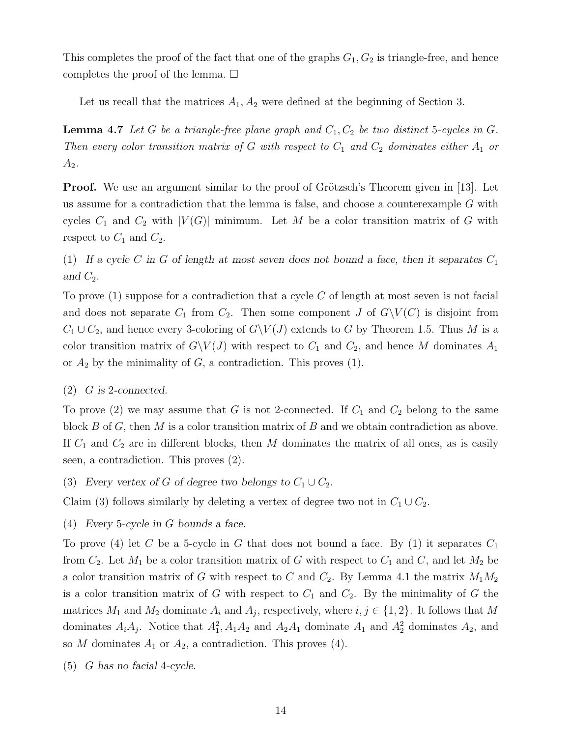This completes the proof of the fact that one of the graphs  $G_1, G_2$  is triangle-free, and hence completes the proof of the lemma.  $\square$ 

Let us recall that the matrices  $A_1, A_2$  were defined at the beginning of Section 3.

**Lemma 4.7** Let G be a triangle-free plane graph and  $C_1$ ,  $C_2$  be two distinct 5-cycles in G. Then every color transition matrix of G with respect to  $C_1$  and  $C_2$  dominates either  $A_1$  or  $A_2$ .

**Proof.** We use an argument similar to the proof of Grötzsch's Theorem given in [13]. Let us assume for a contradiction that the lemma is false, and choose a counterexample  $G$  with cycles  $C_1$  and  $C_2$  with  $|V(G)|$  minimum. Let M be a color transition matrix of G with respect to  $C_1$  and  $C_2$ .

(1) If a cycle C in G of length at most seven does not bound a face, then it separates  $C_1$ and  $C_2$ .

To prove  $(1)$  suppose for a contradiction that a cycle C of length at most seven is not facial and does not separate  $C_1$  from  $C_2$ . Then some component J of  $G\setminus V(C)$  is disjoint from  $C_1 \cup C_2$ , and hence every 3-coloring of  $G\setminus V(J)$  extends to G by Theorem 1.5. Thus M is a color transition matrix of  $G\backslash V(J)$  with respect to  $C_1$  and  $C_2$ , and hence M dominates  $A_1$ or  $A_2$  by the minimality of  $G$ , a contradiction. This proves (1).

 $(2)$  G is 2-connected.

To prove (2) we may assume that G is not 2-connected. If  $C_1$  and  $C_2$  belong to the same block B of G, then M is a color transition matrix of B and we obtain contradiction as above. If  $C_1$  and  $C_2$  are in different blocks, then M dominates the matrix of all ones, as is easily seen, a contradiction. This proves (2).

(3) Every vertex of G of degree two belongs to  $C_1 \cup C_2$ .

Claim (3) follows similarly by deleting a vertex of degree two not in  $C_1 \cup C_2$ .

(4) Every 5-cycle in G bounds a face.

To prove (4) let C be a 5-cycle in G that does not bound a face. By (1) it separates  $C_1$ from  $C_2$ . Let  $M_1$  be a color transition matrix of G with respect to  $C_1$  and  $C$ , and let  $M_2$  be a color transition matrix of G with respect to C and  $C_2$ . By Lemma 4.1 the matrix  $M_1M_2$ is a color transition matrix of G with respect to  $C_1$  and  $C_2$ . By the minimality of G the matrices  $M_1$  and  $M_2$  dominate  $A_i$  and  $A_j$ , respectively, where  $i, j \in \{1, 2\}$ . It follows that M dominates  $A_i A_j$ . Notice that  $A_1^2$ ,  $A_1 A_2$  and  $A_2 A_1$  dominate  $A_1$  and  $A_2^2$  dominates  $A_2$ , and so M dominates  $A_1$  or  $A_2$ , a contradiction. This proves (4).

(5) G has no facial 4-cycle.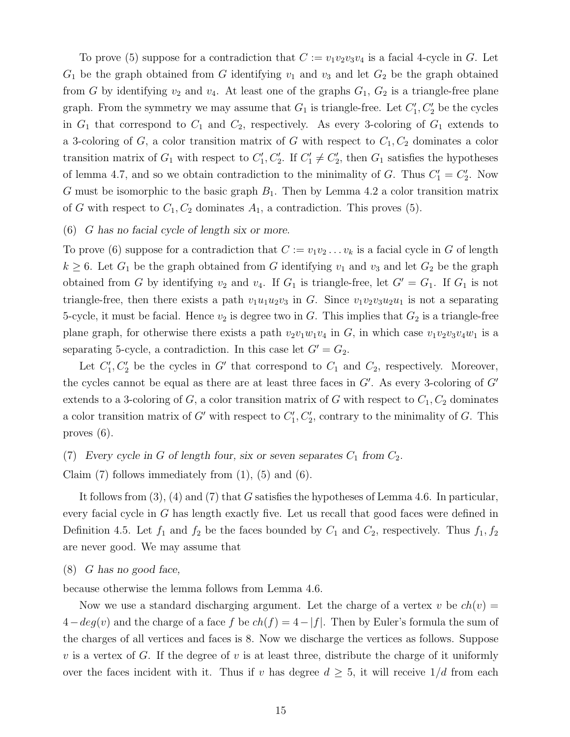To prove (5) suppose for a contradiction that  $C := v_1v_2v_3v_4$  is a facial 4-cycle in G. Let  $G_1$  be the graph obtained from G identifying  $v_1$  and  $v_3$  and let  $G_2$  be the graph obtained from G by identifying  $v_2$  and  $v_4$ . At least one of the graphs  $G_1, G_2$  is a triangle-free plane graph. From the symmetry we may assume that  $G_1$  is triangle-free. Let  $C'_1, C'_2$  be the cycles in  $G_1$  that correspond to  $C_1$  and  $C_2$ , respectively. As every 3-coloring of  $G_1$  extends to a 3-coloring of G, a color transition matrix of G with respect to  $C_1, C_2$  dominates a color transition matrix of  $G_1$  with respect to  $C'_1, C'_2$ . If  $C'_1 \neq C'_2$ , then  $G_1$  satisfies the hypotheses of lemma 4.7, and so we obtain contradiction to the minimality of G. Thus  $C_1' = C_2'$ . Now G must be isomorphic to the basic graph  $B_1$ . Then by Lemma 4.2 a color transition matrix of G with respect to  $C_1, C_2$  dominates  $A_1$ , a contradiction. This proves (5).

### (6) G has no facial cycle of length six or more.

To prove (6) suppose for a contradiction that  $C := v_1v_2 \ldots v_k$  is a facial cycle in G of length  $k \geq 6$ . Let  $G_1$  be the graph obtained from G identifying  $v_1$  and  $v_3$  and let  $G_2$  be the graph obtained from G by identifying  $v_2$  and  $v_4$ . If  $G_1$  is triangle-free, let  $G' = G_1$ . If  $G_1$  is not triangle-free, then there exists a path  $v_1u_1u_2v_3$  in G. Since  $v_1v_2v_3u_2u_1$  is not a separating 5-cycle, it must be facial. Hence  $v_2$  is degree two in G. This implies that  $G_2$  is a triangle-free plane graph, for otherwise there exists a path  $v_2v_1w_1v_4$  in G, in which case  $v_1v_2v_3v_4w_1$  is a separating 5-cycle, a contradiction. In this case let  $G' = G_2$ .

Let  $C_1', C_2'$  be the cycles in G' that correspond to  $C_1$  and  $C_2$ , respectively. Moreover, the cycles cannot be equal as there are at least three faces in  $G'$ . As every 3-coloring of  $G'$ extends to a 3-coloring of G, a color transition matrix of G with respect to  $C_1, C_2$  dominates a color transition matrix of G' with respect to  $C'_{1}, C'_{2}$ , contrary to the minimality of G. This proves (6).

(7) Every cycle in G of length four, six or seven separates  $C_1$  from  $C_2$ . Claim  $(7)$  follows immediately from  $(1)$ ,  $(5)$  and  $(6)$ .

It follows from  $(3)$ ,  $(4)$  and  $(7)$  that G satisfies the hypotheses of Lemma 4.6. In particular, every facial cycle in G has length exactly five. Let us recall that good faces were defined in Definition 4.5. Let  $f_1$  and  $f_2$  be the faces bounded by  $C_1$  and  $C_2$ , respectively. Thus  $f_1, f_2$ are never good. We may assume that

#### $(8)$  G has no good face,

because otherwise the lemma follows from Lemma 4.6.

Now we use a standard discharging argument. Let the charge of a vertex v be  $ch(v) =$  $4-deg(v)$  and the charge of a face f be  $ch(f) = 4-|f|$ . Then by Euler's formula the sum of the charges of all vertices and faces is 8. Now we discharge the vertices as follows. Suppose v is a vertex of G. If the degree of v is at least three, distribute the charge of it uniformly over the faces incident with it. Thus if v has degree  $d \geq 5$ , it will receive  $1/d$  from each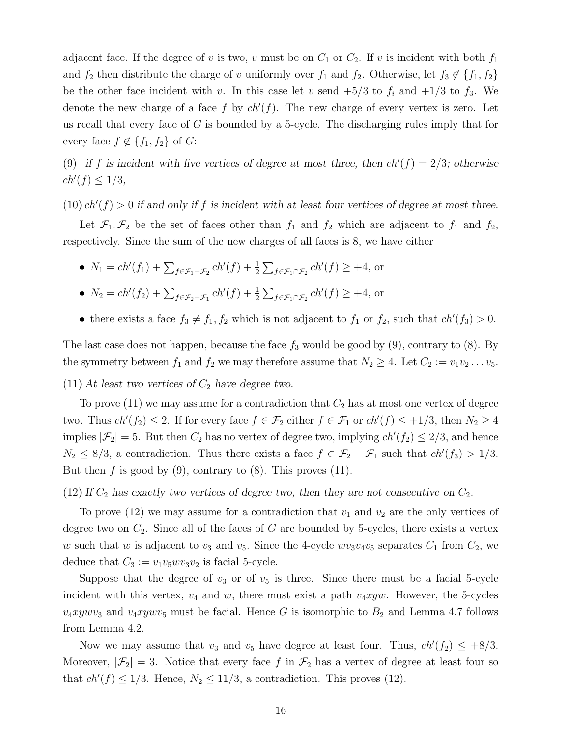adjacent face. If the degree of v is two, v must be on  $C_1$  or  $C_2$ . If v is incident with both  $f_1$ and  $f_2$  then distribute the charge of v uniformly over  $f_1$  and  $f_2$ . Otherwise, let  $f_3 \notin \{f_1, f_2\}$ be the other face incident with v. In this case let v send  $+5/3$  to  $f_i$  and  $+1/3$  to  $f_3$ . We denote the new charge of a face f by  $ch'(f)$ . The new charge of every vertex is zero. Let us recall that every face of  $G$  is bounded by a 5-cycle. The discharging rules imply that for every face  $f \notin \{f_1, f_2\}$  of  $G$ :

(9) if f is incident with five vertices of degree at most three, then  $ch'(f) = 2/3$ ; otherwise  $ch'(f) \leq 1/3$ ,

 $(10)$   $ch'(f) > 0$  if and only if f is incident with at least four vertices of degree at most three.

Let  $\mathcal{F}_1, \mathcal{F}_2$  be the set of faces other than  $f_1$  and  $f_2$  which are adjacent to  $f_1$  and  $f_2$ , respectively. Since the sum of the new charges of all faces is 8, we have either

•  $N_1 = ch'(f_1) + \sum_{f \in \mathcal{F}_1 - \mathcal{F}_2} ch'(f) + \frac{1}{2} \sum_{f \in \mathcal{F}_1 \cap \mathcal{F}_2} ch'(f) \geq +4$ , or

• 
$$
N_2 = ch'(f_2) + \sum_{f \in \mathcal{F}_2 - \mathcal{F}_1} ch'(f) + \frac{1}{2} \sum_{f \in \mathcal{F}_1 \cap \mathcal{F}_2} ch'(f) \ge +4
$$
, or

• there exists a face  $f_3 \neq f_1, f_2$  which is not adjacent to  $f_1$  or  $f_2$ , such that  $ch'(f_3) > 0$ .

The last case does not happen, because the face  $f_3$  would be good by (9), contrary to (8). By the symmetry between  $f_1$  and  $f_2$  we may therefore assume that  $N_2 \geq 4$ . Let  $C_2 := v_1v_2 \ldots v_5$ .

(11) At least two vertices of  $C_2$  have degree two.

To prove (11) we may assume for a contradiction that  $C_2$  has at most one vertex of degree two. Thus  $ch'(f_2) \leq 2$ . If for every face  $f \in \mathcal{F}_2$  either  $f \in \mathcal{F}_1$  or  $ch'(f) \leq +1/3$ , then  $N_2 \geq 4$ implies  $|\mathcal{F}_2| = 5$ . But then  $C_2$  has no vertex of degree two, implying  $ch'(f_2) \leq 2/3$ , and hence  $N_2 \leq 8/3$ , a contradiction. Thus there exists a face  $f \in \mathcal{F}_2 - \mathcal{F}_1$  such that  $ch'(f_3) > 1/3$ . But then  $f$  is good by (9), contrary to (8). This proves (11).

(12) If  $C_2$  has exactly two vertices of degree two, then they are not consecutive on  $C_2$ .

To prove (12) we may assume for a contradiction that  $v_1$  and  $v_2$  are the only vertices of degree two on  $C_2$ . Since all of the faces of G are bounded by 5-cycles, there exists a vertex w such that w is adjacent to  $v_3$  and  $v_5$ . Since the 4-cycle  $wv_3v_4v_5$  separates  $C_1$  from  $C_2$ , we deduce that  $C_3 := v_1v_5wv_3v_2$  is facial 5-cycle.

Suppose that the degree of  $v_3$  or of  $v_5$  is three. Since there must be a facial 5-cycle incident with this vertex,  $v_4$  and w, there must exist a path  $v_4xyw$ . However, the 5-cycles  $v_4xywv_3$  and  $v_4xywv_5$  must be facial. Hence G is isomorphic to  $B_2$  and Lemma 4.7 follows from Lemma 4.2.

Now we may assume that  $v_3$  and  $v_5$  have degree at least four. Thus,  $ch'(f_2) \leq +8/3$ . Moreover,  $|\mathcal{F}_2|=3$ . Notice that every face f in  $\mathcal{F}_2$  has a vertex of degree at least four so that  $ch'(f) \leq 1/3$ . Hence,  $N_2 \leq 11/3$ , a contradiction. This proves (12).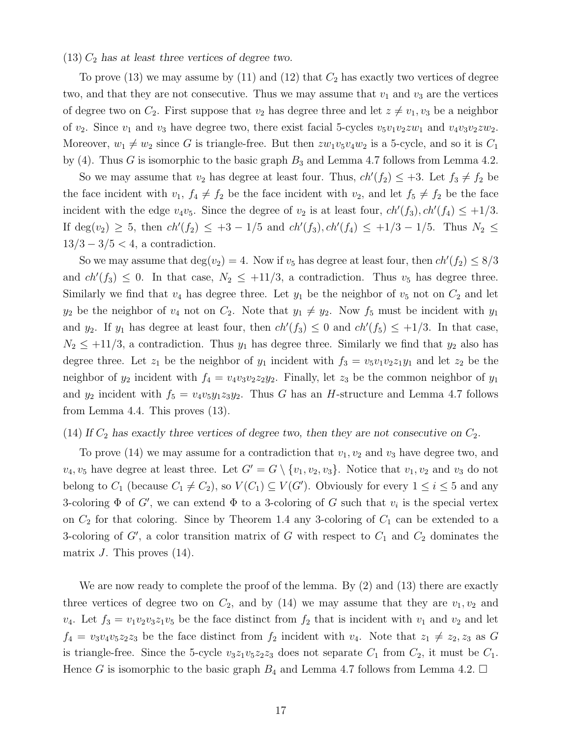#### $(13)$   $C_2$  has at least three vertices of degree two.

To prove (13) we may assume by (11) and (12) that  $C_2$  has exactly two vertices of degree two, and that they are not consecutive. Thus we may assume that  $v_1$  and  $v_3$  are the vertices of degree two on  $C_2$ . First suppose that  $v_2$  has degree three and let  $z \neq v_1, v_3$  be a neighbor of  $v_2$ . Since  $v_1$  and  $v_3$  have degree two, there exist facial 5-cycles  $v_5v_1v_2zw_1$  and  $v_4v_3v_2zw_2$ . Moreover,  $w_1 \neq w_2$  since G is triangle-free. But then  $zw_1v_5v_4w_2$  is a 5-cycle, and so it is  $C_1$ by (4). Thus G is isomorphic to the basic graph  $B_3$  and Lemma 4.7 follows from Lemma 4.2.

So we may assume that  $v_2$  has degree at least four. Thus,  $ch'(f_2) \leq +3$ . Let  $f_3 \neq f_2$  be the face incident with  $v_1, f_4 \neq f_2$  be the face incident with  $v_2$ , and let  $f_5 \neq f_2$  be the face incident with the edge  $v_4v_5$ . Since the degree of  $v_2$  is at least four,  $ch'(f_3)$ ,  $ch'(f_4) \leq +1/3$ . If  $deg(v_2) \ge 5$ , then  $ch'(f_2) \le +3 - 1/5$  and  $ch'(f_3)$ ,  $ch'(f_4) \le +1/3 - 1/5$ . Thus  $N_2 \le$  $13/3 - 3/5 < 4$ , a contradiction.

So we may assume that  $deg(v_2) = 4$ . Now if  $v_5$  has degree at least four, then  $ch'(f_2) \leq 8/3$ and  $ch'(f_3) \leq 0$ . In that case,  $N_2 \leq +11/3$ , a contradiction. Thus  $v_5$  has degree three. Similarly we find that  $v_4$  has degree three. Let  $y_1$  be the neighbor of  $v_5$  not on  $C_2$  and let  $y_2$  be the neighbor of  $v_4$  not on  $C_2$ . Note that  $y_1 \neq y_2$ . Now  $f_5$  must be incident with  $y_1$ and  $y_2$ . If  $y_1$  has degree at least four, then  $ch'(f_3) \leq 0$  and  $ch'(f_5) \leq +1/3$ . In that case,  $N_2 \leq +11/3$ , a contradiction. Thus  $y_1$  has degree three. Similarly we find that  $y_2$  also has degree three. Let  $z_1$  be the neighbor of  $y_1$  incident with  $f_3 = v_5v_1v_2z_1y_1$  and let  $z_2$  be the neighbor of  $y_2$  incident with  $f_4 = v_4v_3v_2z_2y_2$ . Finally, let  $z_3$  be the common neighbor of  $y_1$ and  $y_2$  incident with  $f_5 = v_4v_5y_1z_3y_2$ . Thus G has an H-structure and Lemma 4.7 follows from Lemma 4.4. This proves (13).

### (14) If  $C_2$  has exactly three vertices of degree two, then they are not consecutive on  $C_2$ .

To prove (14) we may assume for a contradiction that  $v_1, v_2$  and  $v_3$  have degree two, and  $v_4, v_5$  have degree at least three. Let  $G' = G \setminus \{v_1, v_2, v_3\}$ . Notice that  $v_1, v_2$  and  $v_3$  do not belong to  $C_1$  (because  $C_1 \neq C_2$ ), so  $V(C_1) \subseteq V(G')$ . Obviously for every  $1 \leq i \leq 5$  and any 3-coloring  $\Phi$  of G', we can extend  $\Phi$  to a 3-coloring of G such that  $v_i$  is the special vertex on  $C_2$  for that coloring. Since by Theorem 1.4 any 3-coloring of  $C_1$  can be extended to a 3-coloring of  $G'$ , a color transition matrix of G with respect to  $C_1$  and  $C_2$  dominates the matrix  $J$ . This proves  $(14)$ .

We are now ready to complete the proof of the lemma. By  $(2)$  and  $(13)$  there are exactly three vertices of degree two on  $C_2$ , and by (14) we may assume that they are  $v_1, v_2$  and  $v_4$ . Let  $f_3 = v_1v_2v_3z_1v_5$  be the face distinct from  $f_2$  that is incident with  $v_1$  and  $v_2$  and let  $f_4 = v_3v_4v_5z_2z_3$  be the face distinct from  $f_2$  incident with  $v_4$ . Note that  $z_1 \neq z_2, z_3$  as G is triangle-free. Since the 5-cycle  $v_3z_1v_5z_2z_3$  does not separate  $C_1$  from  $C_2$ , it must be  $C_1$ . Hence G is isomorphic to the basic graph  $B_4$  and Lemma 4.7 follows from Lemma 4.2.  $\Box$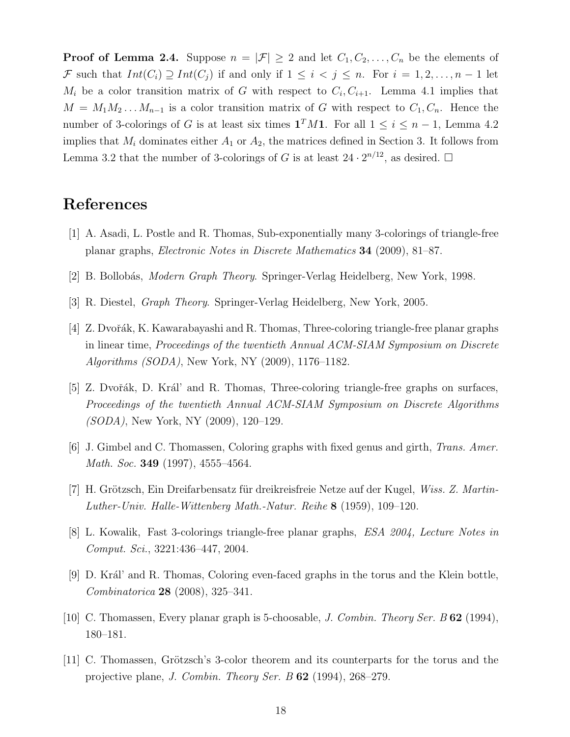**Proof of Lemma 2.4.** Suppose  $n = |\mathcal{F}| \geq 2$  and let  $C_1, C_2, \ldots, C_n$  be the elements of F such that  $Int(C_i) \supseteq Int(C_j)$  if and only if  $1 \leq i < j \leq n$ . For  $i = 1, 2, ..., n - 1$  let  $M_i$  be a color transition matrix of G with respect to  $C_i, C_{i+1}$ . Lemma 4.1 implies that  $M = M_1 M_2 \dots M_{n-1}$  is a color transition matrix of G with respect to  $C_1, C_n$ . Hence the number of 3-colorings of G is at least six times  $\mathbf{1}^T M \mathbf{1}$ . For all  $1 \leq i \leq n-1$ , Lemma 4.2 implies that  $M_i$  dominates either  $A_1$  or  $A_2$ , the matrices defined in Section 3. It follows from Lemma 3.2 that the number of 3-colorings of G is at least  $24 \cdot 2^{n/12}$ , as desired.  $\Box$ 

# References

- [1] A. Asadi, L. Postle and R. Thomas, Sub-exponentially many 3-colorings of triangle-free planar graphs, Electronic Notes in Discrete Mathematics 34 (2009), 81–87.
- [2] B. Bollobás, *Modern Graph Theory*. Springer-Verlag Heidelberg, New York, 1998.
- [3] R. Diestel, Graph Theory. Springer-Verlag Heidelberg, New York, 2005.
- [4] Z. Dvoˇr´ak, K. Kawarabayashi and R. Thomas, Three-coloring triangle-free planar graphs in linear time, Proceedings of the twentieth Annual ACM-SIAM Symposium on Discrete Algorithms (SODA), New York, NY (2009), 1176–1182.
- [5] Z. Dvořák, D. Král' and R. Thomas, Three-coloring triangle-free graphs on surfaces, Proceedings of the twentieth Annual ACM-SIAM Symposium on Discrete Algorithms (SODA), New York, NY (2009), 120–129.
- [6] J. Gimbel and C. Thomassen, Coloring graphs with fixed genus and girth, Trans. Amer. Math. Soc. **349** (1997), 4555–4564.
- [7] H. Grötzsch, Ein Dreifarbensatz für dreikreisfreie Netze auf der Kugel, Wiss. Z. Martin-Luther-Univ. Halle-Wittenberg Math.-Natur. Reihe 8 (1959), 109–120.
- [8] L. Kowalik, Fast 3-colorings triangle-free planar graphs, ESA 2004, Lecture Notes in Comput. Sci., 3221:436–447, 2004.
- [9] D. Král' and R. Thomas, Coloring even-faced graphs in the torus and the Klein bottle, Combinatorica 28 (2008), 325–341.
- [10] C. Thomassen, Every planar graph is 5-choosable, J. Combin. Theory Ser. B 62 (1994), 180–181.
- [11] C. Thomassen, Grötzsch's 3-color theorem and its counterparts for the torus and the projective plane, J. Combin. Theory Ser. B 62 (1994), 268–279.